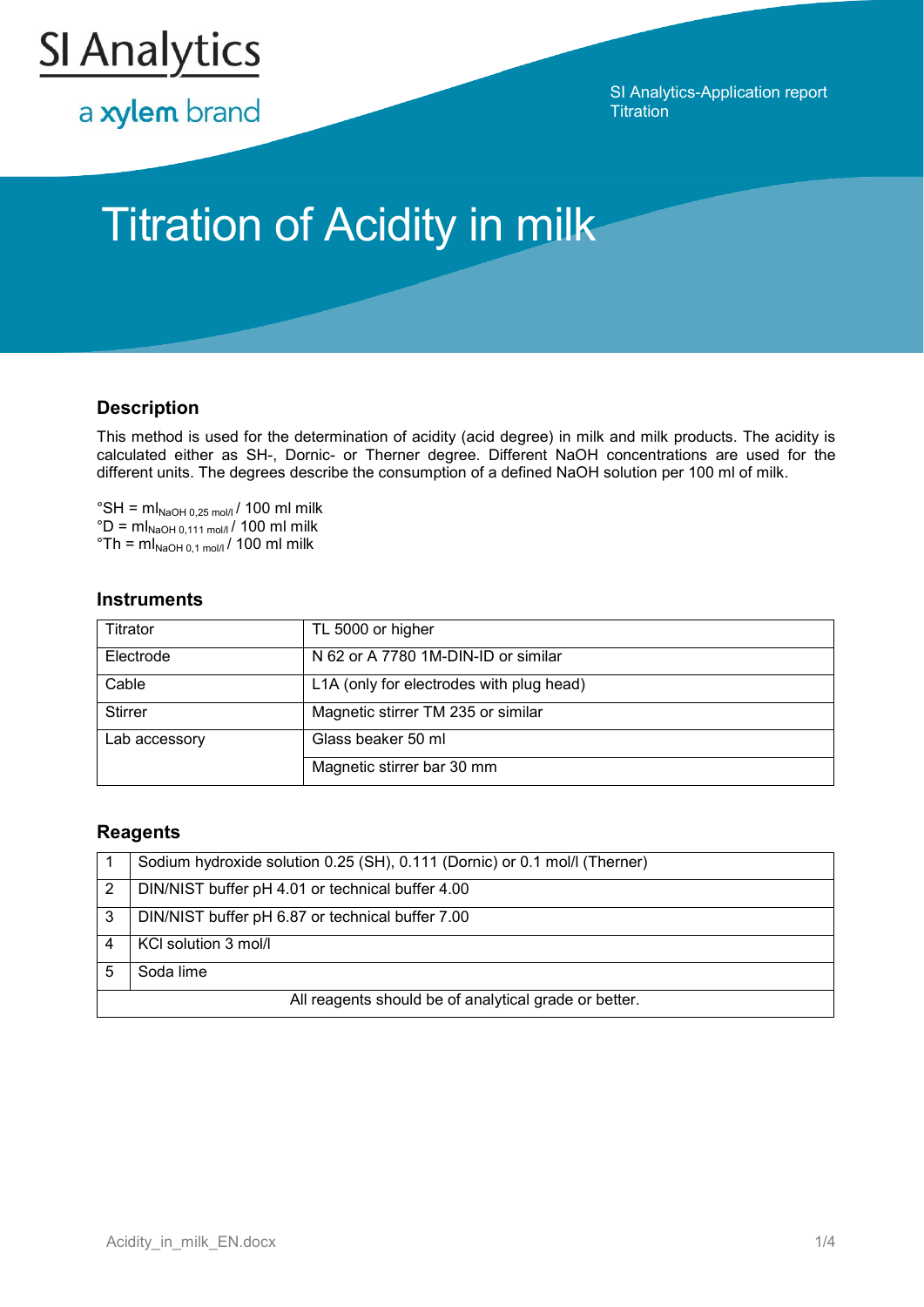

a xylem brand

SI Analytics-Application report **Titration** 

# Titration of Acidity in milk

### **Description**

This method is used for the determination of acidity (acid degree) in milk and milk products. The acidity is calculated either as SH-, Dornic- or Therner degree. Different NaOH concentrations are used for the different units. The degrees describe the consumption of a defined NaOH solution per 100 ml of milk.

 $\degree$ SH = ml<sub>NaOH 0,25 mol/l</sub> / 100 ml milk  $^{\circ}D = mI_{\text{NaOH 0.111 mol/}}/100$  ml milk  $\mathrm{C}^{\circ}$ Th = ml<sub>NaOH 0,1 mol/l</sub> / 100 ml milk

#### **Instruments**

| Titrator       | TL 5000 or higher                        |
|----------------|------------------------------------------|
| Electrode      | N 62 or A 7780 1M-DIN-ID or similar      |
| Cable          | L1A (only for electrodes with plug head) |
| <b>Stirrer</b> | Magnetic stirrer TM 235 or similar       |
| Lab accessory  | Glass beaker 50 ml                       |
|                | Magnetic stirrer bar 30 mm               |

#### **Reagents**

|                                                       | Sodium hydroxide solution 0.25 (SH), 0.111 (Dornic) or 0.1 mol/l (Therner) |  |  |
|-------------------------------------------------------|----------------------------------------------------------------------------|--|--|
| 2                                                     | DIN/NIST buffer pH 4.01 or technical buffer 4.00                           |  |  |
| 3                                                     | DIN/NIST buffer pH 6.87 or technical buffer 7.00                           |  |  |
|                                                       | KCI solution 3 mol/l                                                       |  |  |
|                                                       | Soda lime                                                                  |  |  |
| All reagents should be of analytical grade or better. |                                                                            |  |  |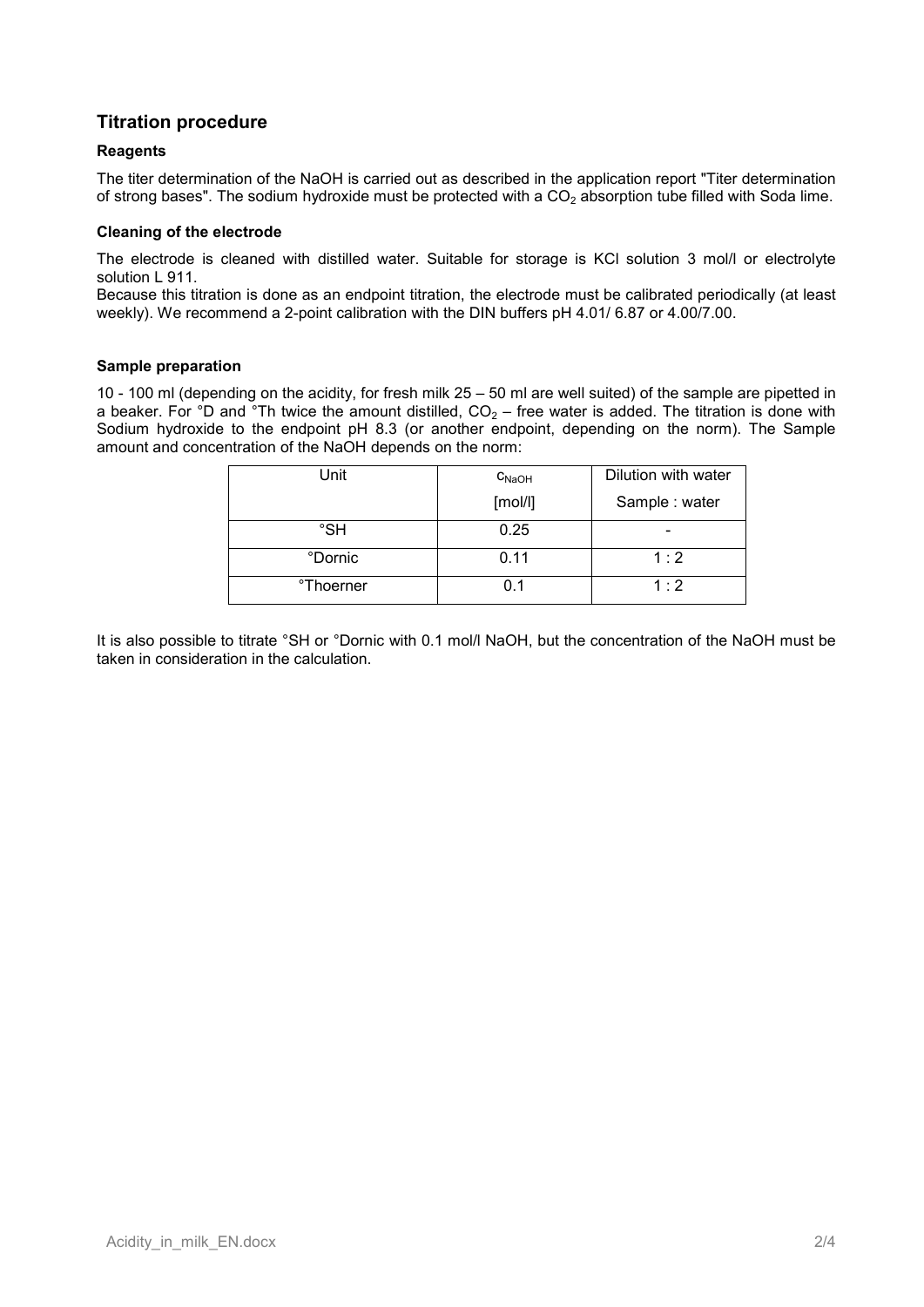## **Titration procedure**

#### **Reagents**

The titer determination of the NaOH is carried out as described in the application report "Titer determination of strong bases". The sodium hydroxide must be protected with a  $CO<sub>2</sub>$  absorption tube filled with Soda lime.

#### **Cleaning of the electrode**

The electrode is cleaned with distilled water. Suitable for storage is KCl solution 3 mol/l or electrolyte solution L 911.

Because this titration is done as an endpoint titration, the electrode must be calibrated periodically (at least weekly). We recommend a 2-point calibration with the DIN buffers pH 4.01/ 6.87 or 4.00/7.00.

#### **Sample preparation**

10 - 100 ml (depending on the acidity, for fresh milk 25 – 50 ml are well suited) of the sample are pipetted in a beaker. For  $\degree$ D and  $\degree$ Th twice the amount distilled, CO<sub>2</sub> – free water is added. The titration is done with Sodium hydroxide to the endpoint pH 8.3 (or another endpoint, depending on the norm). The Sample amount and concentration of the NaOH depends on the norm:

| Unit                  | $C_{NaOH}$ | Dilution with water |
|-----------------------|------------|---------------------|
|                       | [mol/l]    | Sample: water       |
| °SH                   | 0.25       |                     |
| °Dornic               | 0.11       | 1:2                 |
| <sup>o</sup> Thoerner | 0.1        | 1:2                 |

It is also possible to titrate °SH or °Dornic with 0.1 mol/l NaOH, but the concentration of the NaOH must be taken in consideration in the calculation.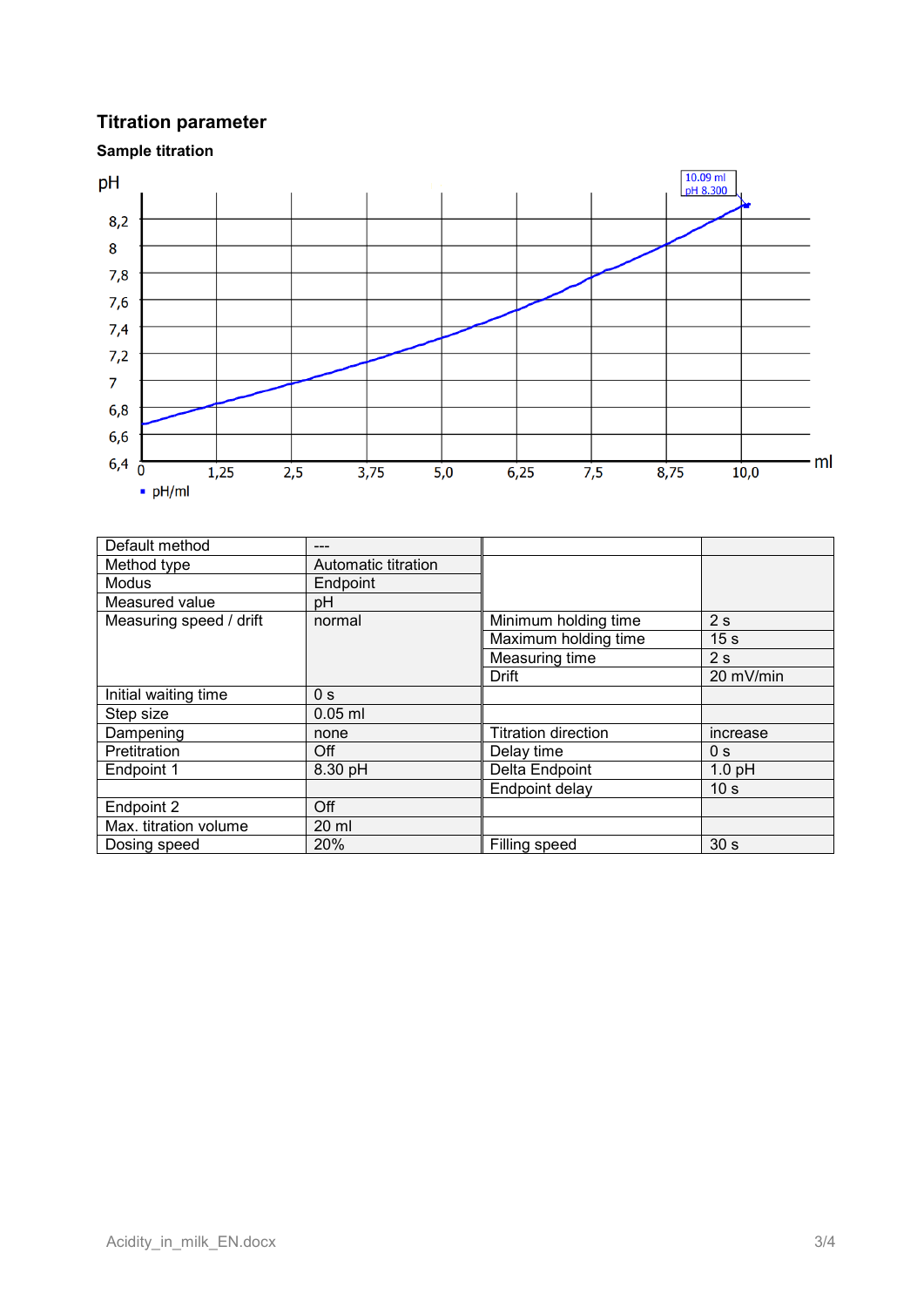# **Titration parameter**

**Sample titration**



| Default method          |                     |                            |                 |
|-------------------------|---------------------|----------------------------|-----------------|
| Method type             | Automatic titration |                            |                 |
| <b>Modus</b>            | Endpoint            |                            |                 |
| Measured value          | pH                  |                            |                 |
| Measuring speed / drift | normal              | Minimum holding time       | 2s              |
|                         |                     | Maximum holding time       | 15 <sub>s</sub> |
|                         |                     | Measuring time             | 2s              |
|                         |                     | Drift                      | 20 mV/min       |
| Initial waiting time    | 0 <sub>s</sub>      |                            |                 |
| Step size               | $0.05$ ml           |                            |                 |
| Dampening               | none                | <b>Titration direction</b> | increase        |
| Pretitration            | Off                 | Delay time                 | 0 <sub>s</sub>  |
| Endpoint 1              | 8.30 pH             | Delta Endpoint             | $1.0$ pH        |
|                         |                     | Endpoint delay             | 10 <sub>s</sub> |
| Endpoint 2              | Off                 |                            |                 |
| Max. titration volume   | 20 ml               |                            |                 |
| Dosing speed            | 20%                 | Filling speed              | 30 <sub>s</sub> |